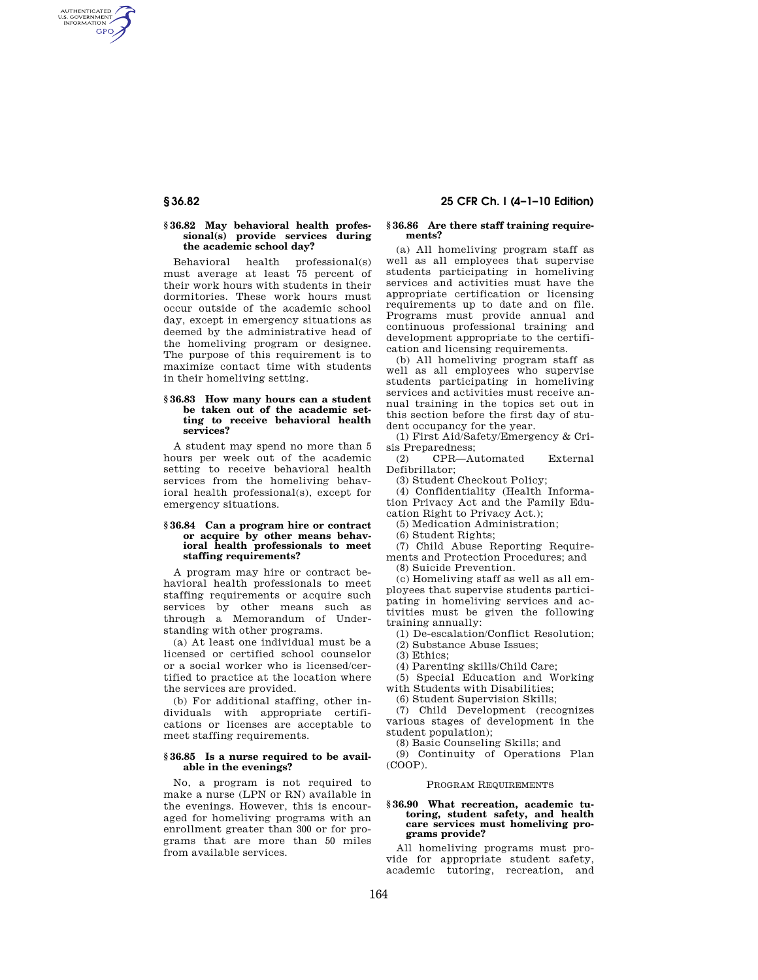AUTHENTICATED<br>U.S. GOVERNMENT<br>INFORMATION **GPO** 

# **§ 36.82 May behavioral health professional(s) provide services during the academic school day?**

Behavioral health professional(s) must average at least 75 percent of their work hours with students in their dormitories. These work hours must occur outside of the academic school day, except in emergency situations as deemed by the administrative head of the homeliving program or designee. The purpose of this requirement is to maximize contact time with students in their homeliving setting.

#### **§ 36.83 How many hours can a student be taken out of the academic setting to receive behavioral health services?**

A student may spend no more than 5 hours per week out of the academic setting to receive behavioral health services from the homeliving behavioral health professional(s), except for emergency situations.

#### **§ 36.84 Can a program hire or contract or acquire by other means behavioral health professionals to meet staffing requirements?**

A program may hire or contract behavioral health professionals to meet staffing requirements or acquire such services by other means such as through a Memorandum of Understanding with other programs.

(a) At least one individual must be a licensed or certified school counselor or a social worker who is licensed/certified to practice at the location where the services are provided.

(b) For additional staffing, other individuals with appropriate certifications or licenses are acceptable to meet staffing requirements.

#### **§ 36.85 Is a nurse required to be available in the evenings?**

No, a program is not required to make a nurse (LPN or RN) available in the evenings. However, this is encouraged for homeliving programs with an enrollment greater than 300 or for programs that are more than 50 miles from available services.

# **§ 36.82 25 CFR Ch. I (4–1–10 Edition)**

#### **§ 36.86 Are there staff training requirements?**

(a) All homeliving program staff as well as all employees that supervise students participating in homeliving services and activities must have the appropriate certification or licensing requirements up to date and on file. Programs must provide annual and continuous professional training and development appropriate to the certification and licensing requirements.

(b) All homeliving program staff as well as all employees who supervise students participating in homeliving services and activities must receive annual training in the topics set out in this section before the first day of student occupancy for the year.

(1) First Aid/Safety/Emergency & Crisis Preparedness;

(2) CPR—Automated External Defibrillator;

(3) Student Checkout Policy;

(4) Confidentiality (Health Information Privacy Act and the Family Education Right to Privacy Act.);

(5) Medication Administration;

(6) Student Rights;

(7) Child Abuse Reporting Requirements and Protection Procedures; and

(8) Suicide Prevention.

(c) Homeliving staff as well as all employees that supervise students participating in homeliving services and activities must be given the following training annually:

(1) De-escalation/Conflict Resolution;

(2) Substance Abuse Issues;

(3) Ethics;

(4) Parenting skills/Child Care;

(5) Special Education and Working with Students with Disabilities;

(6) Student Supervision Skills;

(7) Child Development (recognizes various stages of development in the student population);

(8) Basic Counseling Skills; and

(9) Continuity of Operations Plan (COOP).

#### PROGRAM REQUIREMENTS

### **§ 36.90 What recreation, academic tutoring, student safety, and health care services must homeliving programs provide?**

All homeliving programs must provide for appropriate student safety, academic tutoring, recreation, and